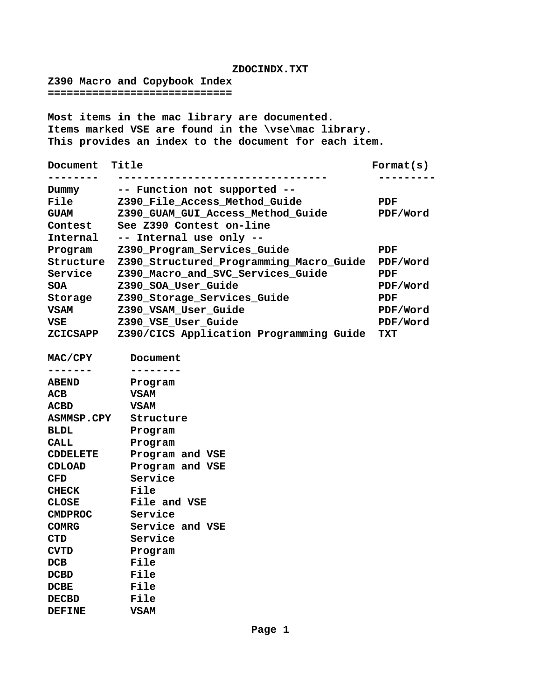## **ZDOCINDX.TXT**

**Z390 Macro and Copybook Index =============================**

**DEFINE VSAM**

**Most items in the mac library are documented. Items marked VSE are found in the \vse\mac library. This provides an index to the document for each item.**

| Document          | Title                                   | $\texttt{Format}(s)$ |
|-------------------|-----------------------------------------|----------------------|
|                   |                                         |                      |
| Dummy             | -- Function not supported --            |                      |
| <b>File</b>       | Z390 File Access Method Guide           | <b>PDF</b>           |
| <b>GUAM</b>       | Z390_GUAM_GUI_Access_Method_Guide       | PDF/Word             |
| Contest           | See Z390 Contest on-line                |                      |
| Internal          | -- Internal use only --                 |                      |
| Program           | Z390_Program_Services_Guide             | PDF                  |
| Structure         | Z390_Structured_Programming_Macro_Guide | PDF/Word             |
| Service           | Z390_Macro_and_SVC_Services_Guide       | PDF                  |
| <b>SOA</b>        | Z390_SOA_User_Guide                     | PDF/Word             |
| Storage           | Z390_Storage_Services_Guide             | PDF                  |
| <b>VSAM</b>       | Z390_VSAM_User_Guide                    | PDF/Word             |
| <b>VSE</b>        | Z390_VSE_User_Guide                     | PDF/Word             |
| <b>ZCICSAPP</b>   | Z390/CICS Application Programming Guide | TXT                  |
|                   |                                         |                      |
| MAC/CPY           | Document                                |                      |
|                   |                                         |                      |
| <b>ABEND</b>      | Program                                 |                      |
| <b>ACB</b>        | <b>VSAM</b>                             |                      |
| <b>ACBD</b>       | <b>VSAM</b>                             |                      |
| <b>ASMMSP.CPY</b> | Structure                               |                      |
| <b>BLDL</b>       | Program                                 |                      |
| <b>CALL</b>       | Program                                 |                      |
| <b>CDDELETE</b>   | Program and VSE                         |                      |
| CDLOAD            | Program and VSE                         |                      |
| CFD               | Service                                 |                      |
| <b>CHECK</b>      | File                                    |                      |
| <b>CLOSE</b>      | File and VSE                            |                      |
| <b>CMDPROC</b>    | Service                                 |                      |
| <b>COMRG</b>      | Service and VSE                         |                      |
| <b>CTD</b>        | Service                                 |                      |
| <b>CVTD</b>       | Program                                 |                      |
| DCB               | File                                    |                      |
| <b>DCBD</b>       | File                                    |                      |
| <b>DCBE</b>       | File                                    |                      |
| <b>DECBD</b>      | File                                    |                      |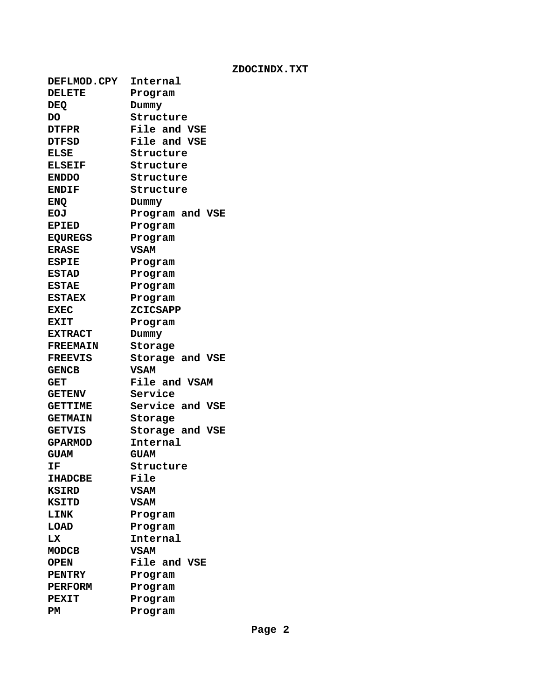**ZDOCINDX.TXT**

| <b>DEFLMOD.CPY</b> | Internal           |  |  |
|--------------------|--------------------|--|--|
| <b>DELETE</b>      |                    |  |  |
|                    | Program            |  |  |
| <b>DEQ</b><br>DO   | Dummy<br>Structure |  |  |
|                    | File and VSE       |  |  |
| <b>DTFPR</b>       |                    |  |  |
| <b>DTFSD</b>       | File and VSE       |  |  |
| <b>ELSE</b>        | Structure          |  |  |
| <b>ELSEIF</b>      | Structure          |  |  |
| <b>ENDDO</b>       | Structure          |  |  |
| <b>ENDIF</b>       | Structure          |  |  |
| <b>ENQ</b>         | Dummy              |  |  |
| <b>EOJ</b>         | Program and VSE    |  |  |
| <b>EPIED</b>       | Program            |  |  |
| <b>EQUREGS</b>     | Program            |  |  |
| <b>ERASE</b>       | <b>VSAM</b>        |  |  |
| <b>ESPIE</b>       | Program            |  |  |
| <b>ESTAD</b>       | Program            |  |  |
| <b>ESTAE</b>       | Program            |  |  |
| <b>ESTAEX</b>      | Program            |  |  |
| <b>EXEC</b>        | <b>ZCICSAPP</b>    |  |  |
| <b>EXIT</b>        | Program            |  |  |
| <b>EXTRACT</b>     | Dummy              |  |  |
| <b>FREEMAIN</b>    | Storage            |  |  |
| <b>FREEVIS</b>     | Storage and VSE    |  |  |
| <b>GENCB</b>       | <b>VSAM</b>        |  |  |
| <b>GET</b>         | File and VSAM      |  |  |
| <b>GETENV</b>      | Service            |  |  |
| <b>GETTIME</b>     | Service and VSE    |  |  |
| <b>GETMAIN</b>     | Storage            |  |  |
| <b>GETVIS</b>      | Storage and VSE    |  |  |
| <b>GPARMOD</b>     | Internal           |  |  |
| <b>GUAM</b>        | <b>GUAM</b>        |  |  |
| ΙF                 | Structure          |  |  |
| <b>IHADCBE</b>     | File               |  |  |
| <b>KSIRD</b>       | <b>VSAM</b>        |  |  |
| KSITD              | VSAM               |  |  |
| LINK               | Program            |  |  |
| LOAD               | Program            |  |  |
| LX                 | Internal           |  |  |
| MODCB              | VSAM               |  |  |
| <b>OPEN</b>        | File and VSE       |  |  |
| <b>PENTRY</b>      | Program            |  |  |
| <b>PERFORM</b>     | Program            |  |  |
| <b>PEXIT</b>       | Program            |  |  |
| PM                 | Program            |  |  |
|                    |                    |  |  |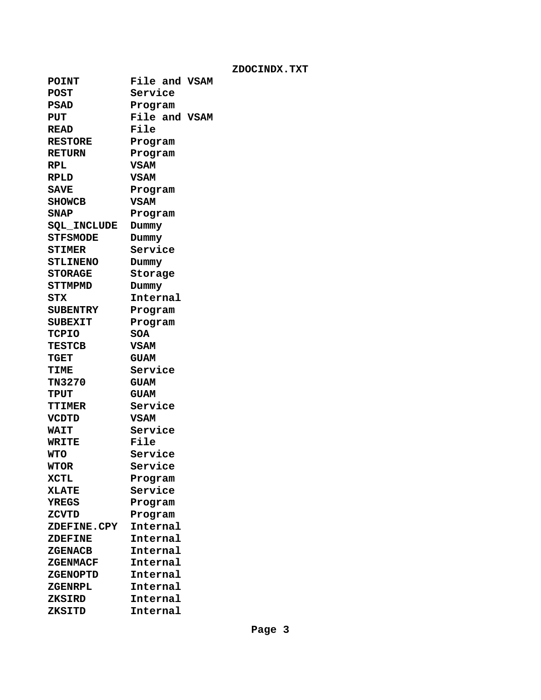| <b>POINT</b>       | File and VSAM |
|--------------------|---------------|
| <b>POST</b>        | Service       |
| <b>PSAD</b>        | Program       |
| <b>PUT</b>         | File and VSAM |
| <b>READ</b>        | File          |
| <b>RESTORE</b>     | Program       |
| <b>RETURN</b>      | Program       |
| RPL                | <b>VSAM</b>   |
| <b>RPLD</b>        | <b>VSAM</b>   |
| <b>SAVE</b>        | Program       |
| <b>SHOWCB</b>      | <b>VSAM</b>   |
| <b>SNAP</b>        | Program       |
| <b>SQL_INCLUDE</b> | Dummy         |
| <b>STFSMODE</b>    | Dummy         |
| <b>STIMER</b>      | Service       |
| <b>STLINENO</b>    | Dummy         |
| <b>STORAGE</b>     | Storage       |
| <b>STTMPMD</b>     | Dummy         |
| STX                | Internal      |
| <b>SUBENTRY</b>    | Program       |
| <b>SUBEXIT</b>     | Program       |
| TCPIO              | <b>SOA</b>    |
| <b>TESTCB</b>      | <b>VSAM</b>   |
| TGET               | <b>GUAM</b>   |
| <b>TIME</b>        | Service       |
| <b>TN3270</b>      | <b>GUAM</b>   |
| <b>TPUT</b>        | <b>GUAM</b>   |
| <b>TTIMER</b>      | Service       |
| <b>VCDTD</b>       | <b>VSAM</b>   |
| <b>WAIT</b>        | Service       |
| <b>WRITE</b>       | File          |
| <b>WTO</b>         | Service       |
| <b>WTOR</b>        | Service       |
| <b>XCTL</b>        | Program       |
| <b>XLATE</b>       | Service       |
| <b>YREGS</b>       | Program       |
| ZCVTD              | Program       |
| ZDEFINE.CPY        | Internal      |
| <b>ZDEFINE</b>     | Internal      |
| <b>ZGENACB</b>     | Internal      |
| ZGENMACF           | Internal      |
| <b>ZGENOPTD</b>    | Internal      |
| ZGENRPL            | Internal      |
| <b>ZKSIRD</b>      | Internal      |
| ZKSITD             | Internal      |